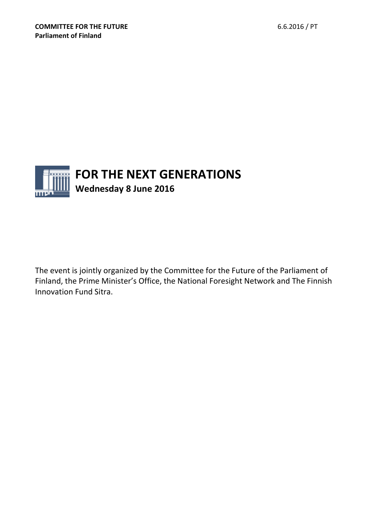

The event is jointly organized by the Committee for the Future of the Parliament of Finland, the Prime Minister's Office, the National Foresight Network and The Finnish Innovation Fund Sitra.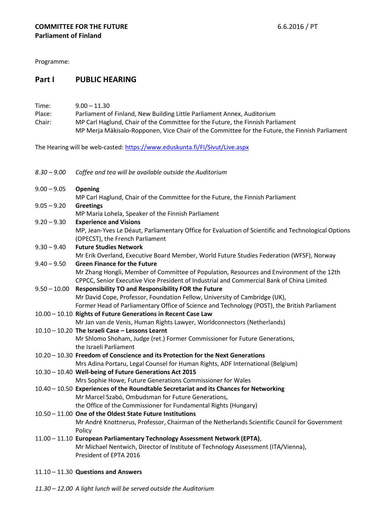Programme:

# **Part I PUBLIC HEARING**

| Time:  | $9.00 - 11.30$                                                                                 |
|--------|------------------------------------------------------------------------------------------------|
| Place: | Parliament of Finland, New Building Little Parliament Annex, Auditorium                        |
| Chair: | MP Carl Haglund, Chair of the Committee for the Future, the Finnish Parliament                 |
|        | MP Merja Mäkisalo-Ropponen, Vice Chair of the Committee for the Future, the Finnish Parliament |

The Hearing will be web-casted: <https://www.eduskunta.fi/FI/Sivut/Live.aspx>

| 8.30 – 9.00 Coffee and tea will be available outside the Auditorium |
|---------------------------------------------------------------------|
|---------------------------------------------------------------------|

| $9.00 - 9.05$  | Opening                                                                                             |
|----------------|-----------------------------------------------------------------------------------------------------|
|                | MP Carl Haglund, Chair of the Committee for the Future, the Finnish Parliament                      |
| $9.05 - 9.20$  | <b>Greetings</b>                                                                                    |
|                | MP Maria Lohela, Speaker of the Finnish Parliament                                                  |
| $9.20 - 9.30$  | <b>Experience and Visions</b>                                                                       |
|                | MP, Jean-Yves Le Déaut, Parliamentary Office for Evaluation of Scientific and Technological Options |
|                | (OPECST), the French Parliament                                                                     |
| $9.30 - 9.40$  | <b>Future Studies Network</b>                                                                       |
|                | Mr Erik Overland, Executive Board Member, World Future Studies Federation (WFSF), Norway            |
| $9.40 - 9.50$  | <b>Green Finance for the Future</b>                                                                 |
|                | Mr Zhang Hongli, Member of Committee of Population, Resources and Environment of the 12th           |
|                | CPPCC, Senior Executive Vice President of Industrial and Commercial Bank of China Limited           |
| $9.50 - 10.00$ | <b>Responsibility TO and Responsibility FOR the Future</b>                                          |
|                | Mr David Cope, Professor, Foundation Fellow, University of Cambridge (UK),                          |
|                | Former Head of Parliamentary Office of Science and Technology (POST), the British Parliament        |
|                | 10.00 - 10.10 Rights of Future Generations in Recent Case Law                                       |
|                | Mr Jan van de Venis, Human Rights Lawyer, Worldconnectors (Netherlands)                             |
|                | $10.10 - 10.20$ The Israeli Case - Lessons Learnt                                                   |
|                | Mr Shlomo Shoham, Judge (ret.) Former Commissioner for Future Generations,                          |
|                | the Israeli Parliament                                                                              |
|                | 10.20 - 10.30 Freedom of Conscience and its Protection for the Next Generations                     |
|                | Mrs Adina Portaru, Legal Counsel for Human Rights, ADF International (Belgium)                      |
|                | 10.30 - 10.40 Well-being of Future Generations Act 2015                                             |
|                | Mrs Sophie Howe, Future Generations Commissioner for Wales                                          |
|                | 10.40 - 10.50 Experiences of the Roundtable Secretariat and its Chances for Networking              |
|                | Mr Marcel Szabó, Ombudsman for Future Generations,                                                  |
|                | the Office of the Commissioner for Fundamental Rights (Hungary)                                     |
|                | 10.50 - 11.00 One of the Oldest State Future Institutions                                           |
|                | Mr André Knottnerus, Professor, Chairman of the Netherlands Scientific Council for Government       |
|                | Policy                                                                                              |
|                | 11.00 - 11.10 European Parliamentary Technology Assessment Network (EPTA),                          |
|                | Mr Michael Nentwich, Director of Institute of Technology Assessment (ITA/Vienna),                   |
|                | President of EPTA 2016                                                                              |

- 11.10 11.30 **Questions and Answers**
- *11.30 – 12.00 A light lunch will be served outside the Auditorium*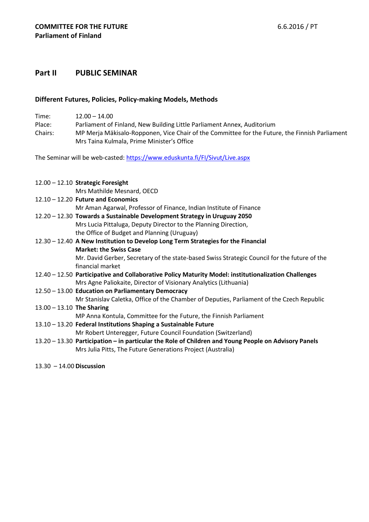# **Part II PUBLIC SEMINAR**

## **Different Futures, Policies, Policy-making Models, Methods**

Time: 12.00 – 14.00 Place: Parliament of Finland, New Building Little Parliament Annex, Auditorium Chairs: MP Merja Mäkisalo-Ropponen, Vice Chair of the Committee for the Future, the Finnish Parliament Mrs Taina Kulmala, Prime Minister's Office

The Seminar will be web-casted: <https://www.eduskunta.fi/FI/Sivut/Live.aspx>

|                             | $12.00 - 12.10$ Strategic Foresight                                                                  |
|-----------------------------|------------------------------------------------------------------------------------------------------|
|                             | Mrs Mathilde Mesnard, OECD                                                                           |
|                             | $12.10 - 12.20$ Future and Economics                                                                 |
|                             | Mr Aman Agarwal, Professor of Finance, Indian Institute of Finance                                   |
|                             | 12.20 - 12.30 Towards a Sustainable Development Strategy in Uruguay 2050                             |
|                             | Mrs Lucia Pittaluga, Deputy Director to the Planning Direction,                                      |
|                             | the Office of Budget and Planning (Uruguay)                                                          |
|                             | 12.30 - 12.40 A New Institution to Develop Long Term Strategies for the Financial                    |
|                             | <b>Market: the Swiss Case</b>                                                                        |
|                             | Mr. David Gerber, Secretary of the state-based Swiss Strategic Council for the future of the         |
|                             | financial market                                                                                     |
|                             | 12.40 - 12.50 Participative and Collaborative Policy Maturity Model: institutionalization Challenges |
|                             | Mrs Agne Paliokaite, Director of Visionary Analytics (Lithuania)                                     |
|                             | 12.50 - 13.00 Education on Parliamentary Democracy                                                   |
|                             | Mr Stanislav Caletka, Office of the Chamber of Deputies, Parliament of the Czech Republic            |
| $13.00 - 13.10$ The Sharing |                                                                                                      |
|                             | MP Anna Kontula, Committee for the Future, the Finnish Parliament                                    |
|                             | 13.10 - 13.20 Federal Institutions Shaping a Sustainable Future                                      |
|                             | Mr Robert Unteregger, Future Council Foundation (Switzerland)                                        |
|                             | 13.20 - 13.30 Participation - in particular the Role of Children and Young People on Advisory Panels |
|                             | Mrs Julia Pitts, The Future Generations Project (Australia)                                          |
|                             |                                                                                                      |

13.30 – 14.00 **Discussion**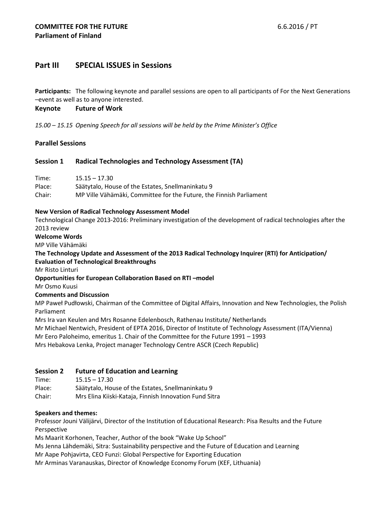# **Part III SPECIAL ISSUES in Sessions**

**Participants:** The following keynote and parallel sessions are open to all participants of For the Next Generations –event as well as to anyone interested.

#### **Keynote Future of Work**

*15.00* – *15.15 Opening Speech for all sessions will be held by the Prime Minister's Office*

## **Parallel Sessions**

## **Session 1 Radical Technologies and Technology Assessment (TA)**

| Time:  | $15.15 - 17.30$                                                     |
|--------|---------------------------------------------------------------------|
| Place: | Säätytalo, House of the Estates, Snellmaninkatu 9                   |
| Chair: | MP Ville Vähämäki, Committee for the Future, the Finnish Parliament |

#### **New Version of Radical Technology Assessment Model**

Technological Change 2013-2016: Preliminary investigation of the development of radical technologies after the 2013 review

#### **Welcome Words**

MP Ville Vähämäki

**The Technology Update and Assessment of the 2013 Radical Technology Inquirer (RTI) for Anticipation/ Evaluation of Technological Breakthroughs**

Mr Risto Linturi

**Opportunities for European Collaboration Based on RTI –model**

Mr Osmo Kuusi

#### **Comments and Discussion**

MP Paweł Pudłowski, Chairman of the Committee of Digital Affairs, Innovation and New Technologies, the Polish Parliament

Mrs Ira van Keulen and Mrs Rosanne Edelenbosch, Rathenau Institute/ Netherlands

Mr Michael Nentwich, President of EPTA 2016, Director of Institute of Technology Assessment (ITA/Vienna)

Mr Eero Paloheimo, emeritus 1. Chair of the Committee for the Future 1991 – 1993

Mrs Hebakova Lenka, Project manager Technology Centre ASCR (Czech Republic)

## **Session 2 Future of Education and Learning**

Time: 15.15 – 17.30

Place: Säätytalo, House of the Estates, Snellmaninkatu 9

Chair: Mrs Elina Kiiski-Kataja, Finnish Innovation Fund Sitra

#### **Speakers and themes:**

Professor Jouni Välijärvi, Director of the Institution of Educational Research: Pisa Results and the Future Perspective

Ms Maarit Korhonen, Teacher, Author of the book "Wake Up School"

Ms Jenna Lähdemäki, Sitra: Sustainability perspective and the Future of Education and Learning

Mr Aape Pohjavirta, CEO Funzi: Global Perspective for Exporting Education

Mr Arminas Varanauskas, Director of Knowledge Economy Forum (KEF, Lithuania)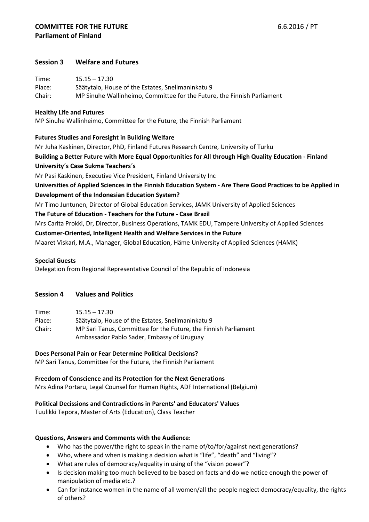# **Session 3 Welfare and Futures**

| Time:  | $15.15 - 17.30$                                                         |
|--------|-------------------------------------------------------------------------|
| Place: | Säätytalo, House of the Estates, Snellmaninkatu 9                       |
| Chair: | MP Sinuhe Wallinheimo, Committee for the Future, the Finnish Parliament |

## **Healthy Life and Futures**

MP Sinuhe Wallinheimo, Committee for the Future, the Finnish Parliament

## **Futures Studies and Foresight in Building Welfare**

Mr Juha Kaskinen, Director, PhD, Finland Futures Research Centre, University of Turku **Building a Better Future with More Equal Opportunities for All through High Quality Education - Finland University´s Case Sukma Teachers´s** Mr Pasi Kaskinen, Executive Vice President, Finland University Inc **Universities of Applied Sciences in the Finnish Education System - Are There Good Practices to be Applied in Development of the Indonesian Education System?** Mr Timo Juntunen, Director of Global Education Services, JAMK University of Applied Sciences **The Future of Education - Teachers for the Future - Case Brazil** Mrs Carita Prokki, Dr, Director, Business Operations, TAMK EDU, Tampere University of Applied Sciences

**Customer-Oriented, Intelligent Health and Welfare Services in the Future** Maaret Viskari, M.A., Manager, Global Education, Häme University of Applied Sciences (HAMK)

## **Special Guests**

Delegation from Regional Representative Council of the Republic of Indonesia

# **Session 4 Values and Politics**

| Time:  | $15.15 - 17.30$                                                 |
|--------|-----------------------------------------------------------------|
| Place: | Säätytalo, House of the Estates, Snellmaninkatu 9               |
| Chair: | MP Sari Tanus, Committee for the Future, the Finnish Parliament |
|        | Ambassador Pablo Sader, Embassy of Uruguay                      |

# **Does Personal Pain or Fear Determine Political Decisions?**

MP Sari Tanus, Committee for the Future, the Finnish Parliament

**Freedom of Conscience and its Protection for the Next Generations** Mrs Adina Portaru, Legal Counsel for Human Rights, ADF International (Belgium)

## **Political Decissions and Contradictions in Parents' and Educators' Values**

Tuulikki Tepora, Master of Arts (Education), Class Teacher

## **Questions, Answers and Comments with the Audience:**

- Who has the power/the right to speak in the name of/to/for/against next generations?
- Who, where and when is making a decision what is "life", "death" and "living"?
- What are rules of democracy/equality in using of the "vision power"?
- Is decision making too much believed to be based on facts and do we notice enough the power of manipulation of media etc.?
- Can for instance women in the name of all women/all the people neglect democracy/equality, the rights of others?